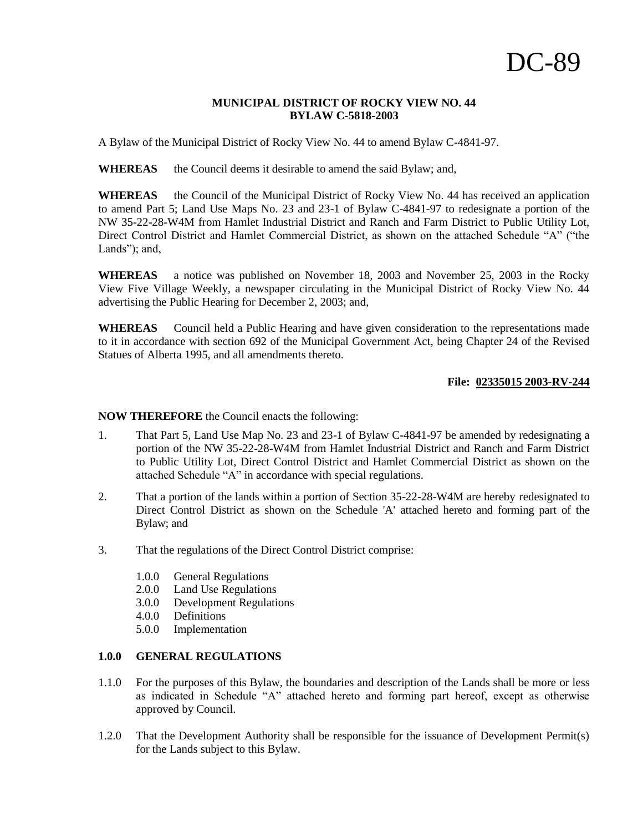## **MUNICIPAL DISTRICT OF ROCKY VIEW NO. 44 BYLAW C-5818-2003**

A Bylaw of the Municipal District of Rocky View No. 44 to amend Bylaw C-4841-97.

WHEREAS the Council deems it desirable to amend the said Bylaw; and,

**WHEREAS** the Council of the Municipal District of Rocky View No. 44 has received an application to amend Part 5; Land Use Maps No. 23 and 23-1 of Bylaw C-4841-97 to redesignate a portion of the NW 35-22-28-W4M from Hamlet Industrial District and Ranch and Farm District to Public Utility Lot, Direct Control District and Hamlet Commercial District, as shown on the attached Schedule "A" ("the Lands"); and,

**WHEREAS** a notice was published on November 18, 2003 and November 25, 2003 in the Rocky View Five Village Weekly, a newspaper circulating in the Municipal District of Rocky View No. 44 advertising the Public Hearing for December 2, 2003; and,

**WHEREAS** Council held a Public Hearing and have given consideration to the representations made to it in accordance with section 692 of the Municipal Government Act, being Chapter 24 of the Revised Statues of Alberta 1995, and all amendments thereto.

## **File: 02335015 2003-RV-244**

**NOW THEREFORE** the Council enacts the following:

- 1. That Part 5, Land Use Map No. 23 and 23-1 of Bylaw C-4841-97 be amended by redesignating a portion of the NW 35-22-28-W4M from Hamlet Industrial District and Ranch and Farm District to Public Utility Lot, Direct Control District and Hamlet Commercial District as shown on the attached Schedule "A" in accordance with special regulations.
- 2. That a portion of the lands within a portion of Section 35-22-28-W4M are hereby redesignated to Direct Control District as shown on the Schedule 'A' attached hereto and forming part of the Bylaw; and
- 3. That the regulations of the Direct Control District comprise:
	- 1.0.0 General Regulations
	- 2.0.0 Land Use Regulations
	- 3.0.0 Development Regulations
	- 4.0.0 Definitions
	- 5.0.0 Implementation

#### **1.0.0 GENERAL REGULATIONS**

- 1.1.0 For the purposes of this Bylaw, the boundaries and description of the Lands shall be more or less as indicated in Schedule "A" attached hereto and forming part hereof, except as otherwise approved by Council.
- 1.2.0 That the Development Authority shall be responsible for the issuance of Development Permit(s) for the Lands subject to this Bylaw.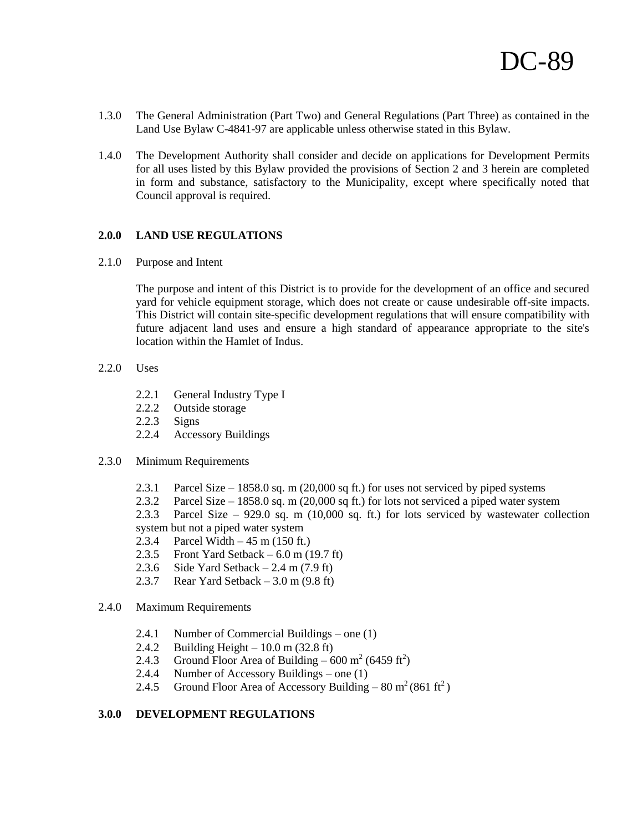- 1.3.0 The General Administration (Part Two) and General Regulations (Part Three) as contained in the Land Use Bylaw C-4841-97 are applicable unless otherwise stated in this Bylaw.
- 1.4.0 The Development Authority shall consider and decide on applications for Development Permits for all uses listed by this Bylaw provided the provisions of Section 2 and 3 herein are completed in form and substance, satisfactory to the Municipality, except where specifically noted that Council approval is required.

## **2.0.0 LAND USE REGULATIONS**

2.1.0 Purpose and Intent

The purpose and intent of this District is to provide for the development of an office and secured yard for vehicle equipment storage, which does not create or cause undesirable off-site impacts. This District will contain site-specific development regulations that will ensure compatibility with future adjacent land uses and ensure a high standard of appearance appropriate to the site's location within the Hamlet of Indus.

- 2.2.0 Uses
	- 2.2.1 General Industry Type I
	- 2.2.2 Outside storage
	- 2.2.3 Signs
	- 2.2.4 Accessory Buildings

#### 2.3.0 Minimum Requirements

- 2.3.1 Parcel Size 1858.0 sq. m (20,000 sq ft.) for uses not serviced by piped systems
- 2.3.2 Parcel Size 1858.0 sq. m (20,000 sq ft.) for lots not serviced a piped water system

2.3.3 Parcel Size – 929.0 sq. m (10,000 sq. ft.) for lots serviced by wastewater collection system but not a piped water system

- 2.3.4 Parcel Width 45 m (150 ft.)
- 2.3.5 Front Yard Setback  $6.0$  m (19.7 ft)
- 2.3.6 Side Yard Setback 2.4 m (7.9 ft)
- 2.3.7 Rear Yard Setback  $-3.0$  m (9.8 ft)
- 2.4.0 Maximum Requirements
	- 2.4.1 Number of Commercial Buildings one (1)
	- 2.4.2 Building Height 10.0 m (32.8 ft)
	- 2.4.3 Ground Floor Area of Building  $600 \text{ m}^2 (6459 \text{ ft}^2)$
	- 2.4.4 Number of Accessory Buildings one (1)
	- 2.4.5 Ground Floor Area of Accessory Building  $80 \text{ m}^2 (861 \text{ ft}^2)$

#### **3.0.0 DEVELOPMENT REGULATIONS**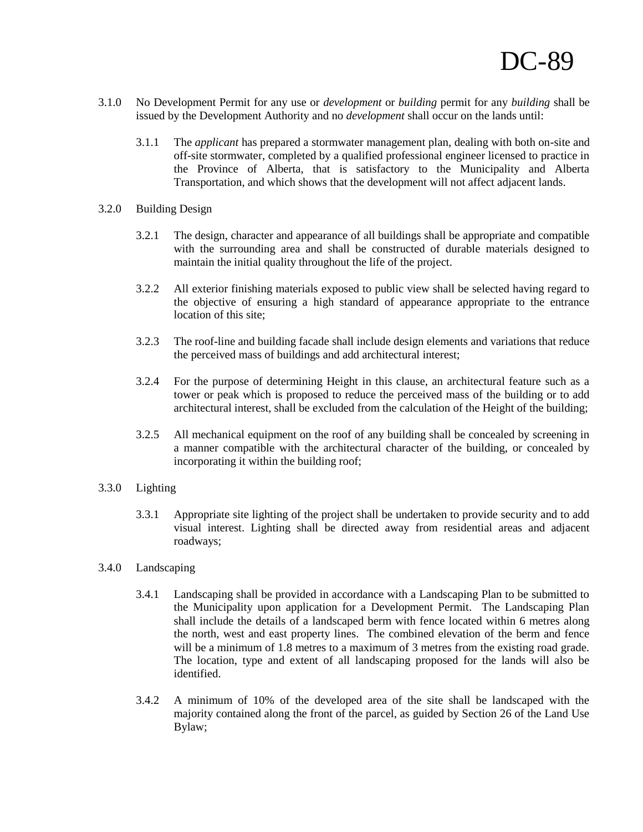- 3.1.0 No Development Permit for any use or *development* or *building* permit for any *building* shall be issued by the Development Authority and no *development* shall occur on the lands until:
	- 3.1.1 The *applicant* has prepared a stormwater management plan, dealing with both on-site and off-site stormwater, completed by a qualified professional engineer licensed to practice in the Province of Alberta, that is satisfactory to the Municipality and Alberta Transportation, and which shows that the development will not affect adjacent lands.
- 3.2.0 Building Design
	- 3.2.1 The design, character and appearance of all buildings shall be appropriate and compatible with the surrounding area and shall be constructed of durable materials designed to maintain the initial quality throughout the life of the project.
	- 3.2.2 All exterior finishing materials exposed to public view shall be selected having regard to the objective of ensuring a high standard of appearance appropriate to the entrance location of this site;
	- 3.2.3 The roof-line and building facade shall include design elements and variations that reduce the perceived mass of buildings and add architectural interest;
	- 3.2.4 For the purpose of determining Height in this clause, an architectural feature such as a tower or peak which is proposed to reduce the perceived mass of the building or to add architectural interest, shall be excluded from the calculation of the Height of the building;
	- 3.2.5 All mechanical equipment on the roof of any building shall be concealed by screening in a manner compatible with the architectural character of the building, or concealed by incorporating it within the building roof;

# 3.3.0 Lighting

- 3.3.1 Appropriate site lighting of the project shall be undertaken to provide security and to add visual interest. Lighting shall be directed away from residential areas and adjacent roadways;
- 3.4.0 Landscaping
	- 3.4.1 Landscaping shall be provided in accordance with a Landscaping Plan to be submitted to the Municipality upon application for a Development Permit. The Landscaping Plan shall include the details of a landscaped berm with fence located within 6 metres along the north, west and east property lines. The combined elevation of the berm and fence will be a minimum of 1.8 metres to a maximum of 3 metres from the existing road grade. The location, type and extent of all landscaping proposed for the lands will also be identified.
	- 3.4.2 A minimum of 10% of the developed area of the site shall be landscaped with the majority contained along the front of the parcel, as guided by Section 26 of the Land Use Bylaw;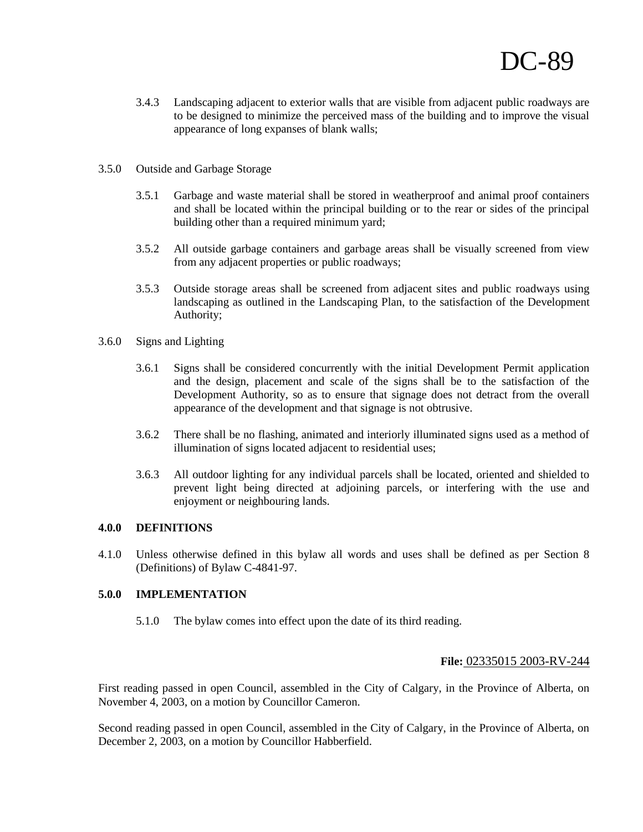- 3.4.3 Landscaping adjacent to exterior walls that are visible from adjacent public roadways are to be designed to minimize the perceived mass of the building and to improve the visual appearance of long expanses of blank walls;
- 3.5.0 Outside and Garbage Storage
	- 3.5.1 Garbage and waste material shall be stored in weatherproof and animal proof containers and shall be located within the principal building or to the rear or sides of the principal building other than a required minimum yard;
	- 3.5.2 All outside garbage containers and garbage areas shall be visually screened from view from any adjacent properties or public roadways;
	- 3.5.3 Outside storage areas shall be screened from adjacent sites and public roadways using landscaping as outlined in the Landscaping Plan, to the satisfaction of the Development Authority;
- 3.6.0 Signs and Lighting
	- 3.6.1 Signs shall be considered concurrently with the initial Development Permit application and the design, placement and scale of the signs shall be to the satisfaction of the Development Authority, so as to ensure that signage does not detract from the overall appearance of the development and that signage is not obtrusive.
	- 3.6.2 There shall be no flashing, animated and interiorly illuminated signs used as a method of illumination of signs located adjacent to residential uses;
	- 3.6.3 All outdoor lighting for any individual parcels shall be located, oriented and shielded to prevent light being directed at adjoining parcels, or interfering with the use and enjoyment or neighbouring lands.

## **4.0.0 DEFINITIONS**

4.1.0 Unless otherwise defined in this bylaw all words and uses shall be defined as per Section 8 (Definitions) of Bylaw C-4841-97.

#### **5.0.0 IMPLEMENTATION**

5.1.0 The bylaw comes into effect upon the date of its third reading.

# **File:** 02335015 2003-RV-244

First reading passed in open Council, assembled in the City of Calgary, in the Province of Alberta, on November 4, 2003, on a motion by Councillor Cameron.

Second reading passed in open Council, assembled in the City of Calgary, in the Province of Alberta, on December 2, 2003, on a motion by Councillor Habberfield.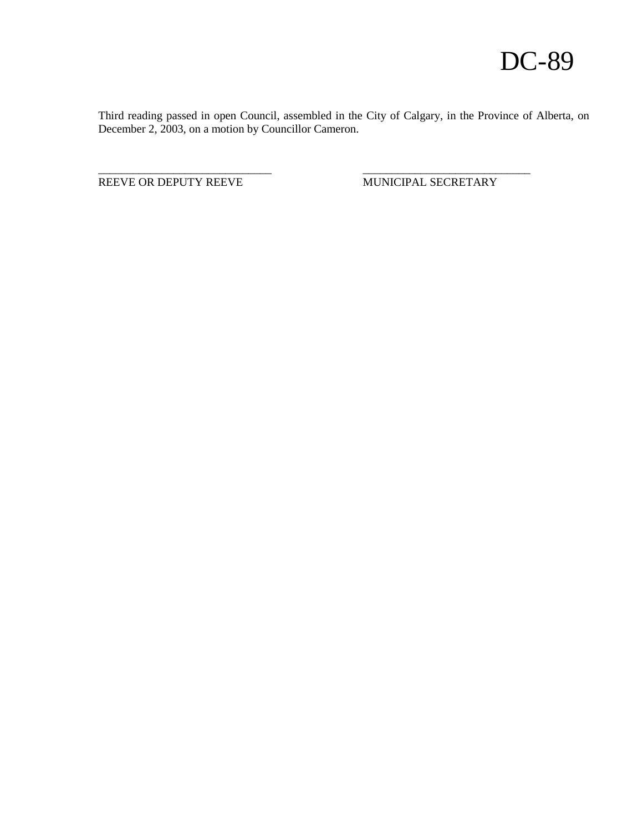Third reading passed in open Council, assembled in the City of Calgary, in the Province of Alberta, on December 2, 2003, on a motion by Councillor Cameron.

\_\_\_\_\_\_\_\_\_\_\_\_\_\_\_\_\_\_\_\_\_\_\_\_\_\_\_\_\_\_ \_\_\_\_\_\_\_\_\_\_\_\_\_\_\_\_\_\_\_\_\_\_\_\_\_\_\_\_\_

REEVE OR DEPUTY REEVE MUNICIPAL SECRETARY